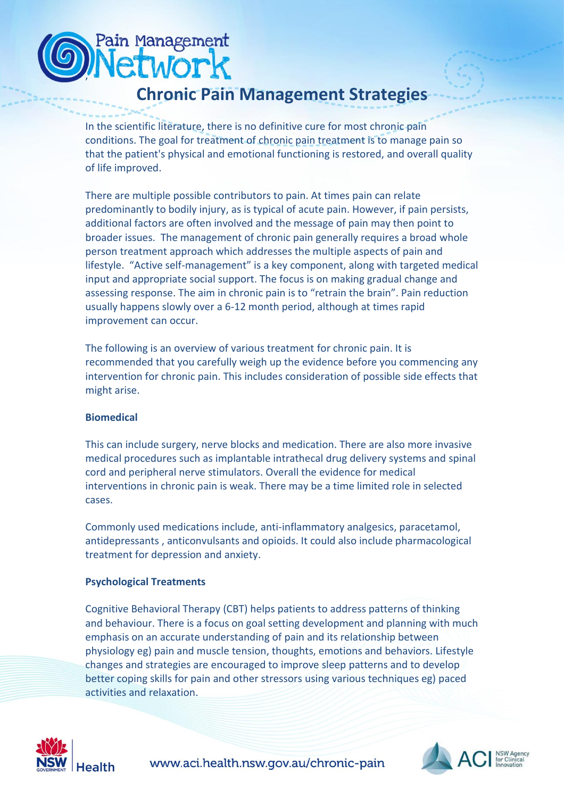# **Chronic Pain Management Strategies**

In the scientific literature, there is no definitive cure for most chronic pain conditions. The goal for treatment of chronic pain treatment is to manage pain so that the patient's physical and emotional functioning is restored, and overall quality of life improved.

There are multiple possible contributors to pain. At times pain can relate predominantly to bodily injury, as is typical of acute pain. However, if pain persists, additional factors are often involved and the message of pain may then point to broader issues. The management of chronic pain generally requires a broad whole person treatment approach which addresses the multiple aspects of pain and lifestyle. "Active self-management" is a key component, along with targeted medical input and appropriate social support. The focus is on making gradual change and assessing response. The aim in chronic pain is to "retrain the brain". Pain reduction usually happens slowly over a 6-12 month period, although at times rapid improvement can occur.

The following is an overview of various treatment for chronic pain. It is recommended that you carefully weigh up the evidence before you commencing any intervention for chronic pain. This includes consideration of possible side effects that might arise.

# **Biomedical**

,

Pain Management etworl

This can include surgery, nerve blocks and medication. There are also more invasive medical procedures such as implantable intrathecal drug delivery systems and spinal cord and peripheral nerve stimulators. Overall the evidence for medical interventions in chronic pain is weak. There may be a time limited role in selected cases.

Commonly used medications include, anti-inflammatory analgesics, paracetamol, antidepressants , anticonvulsants and opioids. It could also include pharmacological treatment for depression and anxiety.

# **Psychological Treatments**

[Cognitive Behavioral Therapy](http://en.wikipedia.org/wiki/Cognitive_behavioral_therapy) (CBT) helps patients to address patterns of thinking and behaviour. There is a focus on goal setting development and planning with much emphasis on an accurate understanding of pain and its relationship between physiology eg) pain and muscle tension, thoughts, emotions and behaviors. Lifestyle changes and strategies are encouraged to improve sleep patterns and to develop better coping skills for pain and other stressors using various techniques eg) paced activities and relaxation.



www.aci.health.nsw.gov.au/chronic-pain